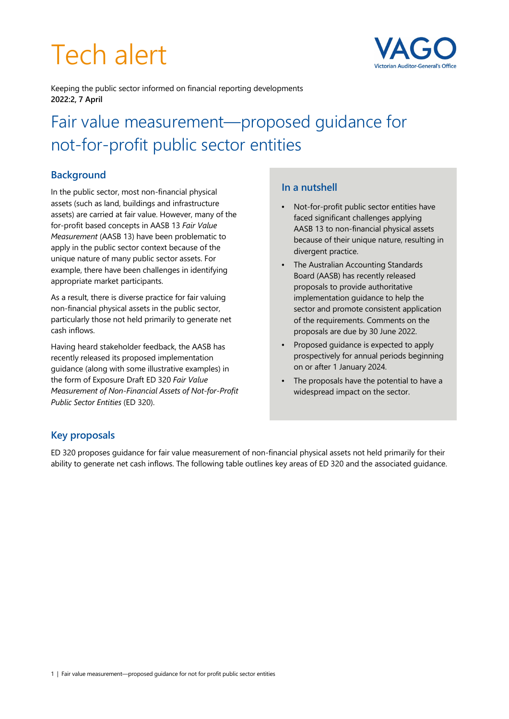# Tech alert



Keeping the public sector informed on financial reporting developments **2022:2, 7 April** 

# Fair value measurement—proposed guidance for not-for-profit public sector entities

# **Background**

In the public sector, most non-financial physical assets (such as land, buildings and infrastructure assets) are carried at fair value. However, many of the for-profit based concepts in AASB 13 *Fair Value Measurement* (AASB 13) have been problematic to apply in the public sector context because of the unique nature of many public sector assets. For example, there have been challenges in identifying appropriate market participants.

As a result, there is diverse practice for fair valuing non-financial physical assets in the public sector, particularly those not held primarily to generate net cash inflows.

Having heard stakeholder feedback, the AASB has recently released its proposed implementation guidance (along with some illustrative examples) in the form of Exposure Draft ED 320 *Fair Value Measurement of Non-Financial Assets of Not-for-Profit Public Sector Entities* (ED 320).

#### **In a nutshell**

- Not-for-profit public sector entities have faced significant challenges applying AASB 13 to non-financial physical assets because of their unique nature, resulting in divergent practice.
- The Australian Accounting Standards Board (AASB) has recently released proposals to provide authoritative implementation guidance to help the sector and promote consistent application of the requirements. Comments on the proposals are due by 30 June 2022.
- Proposed guidance is expected to apply prospectively for annual periods beginning on or after 1 January 2024.
- The proposals have the potential to have a widespread impact on the sector.

# **Key proposals**

ED 320 proposes guidance for fair value measurement of non-financial physical assets not held primarily for their ability to generate net cash inflows. The following table outlines key areas of ED 320 and the associated guidance.